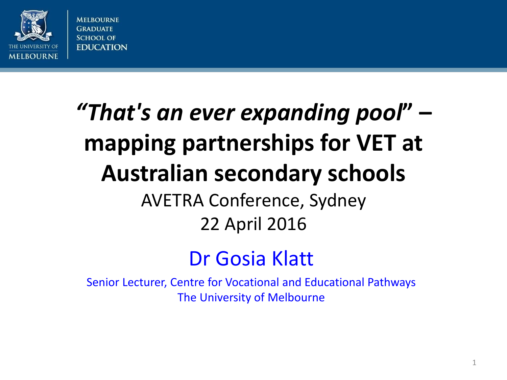

# *"That's an ever expanding pool***" – mapping partnerships for VET at Australian secondary schools** AVETRA Conference, Sydney 22 April 2016

#### Dr Gosia Klatt

Senior Lecturer, Centre for Vocational and Educational Pathways The University of Melbourne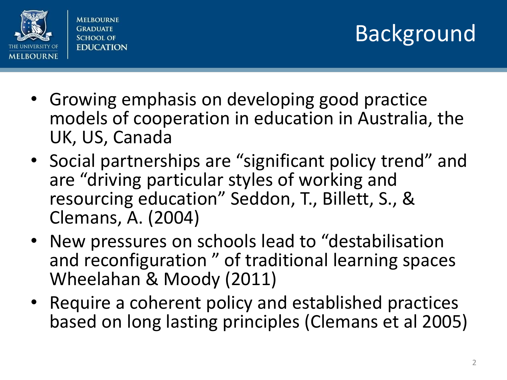

- Growing emphasis on developing good practice models of cooperation in education in Australia, the UK, US, Canada
- Social partnerships are "significant policy trend" and are "driving particular styles of working and resourcing education" Seddon, T., Billett, S., & Clemans, A. (2004)
- New pressures on schools lead to "destabilisation and reconfiguration " of traditional learning spaces Wheelahan & Moody (2011)
- Require a coherent policy and established practices based on long lasting principles (Clemans et al 2005)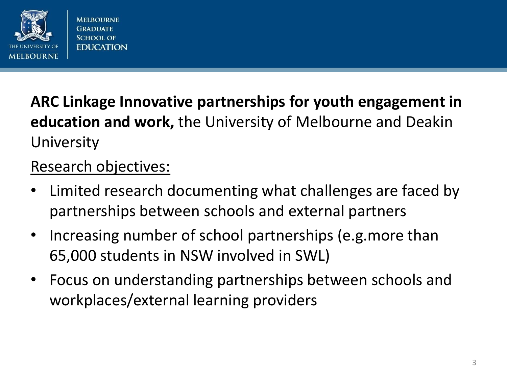

#### **ARC Linkage Innovative partnerships for youth engagement in education and work,** the University of Melbourne and Deakin University

#### Research objectives:

- Limited research documenting what challenges are faced by partnerships between schools and external partners
- Increasing number of school partnerships (e.g.more than 65,000 students in NSW involved in SWL)
- Focus on understanding partnerships between schools and workplaces/external learning providers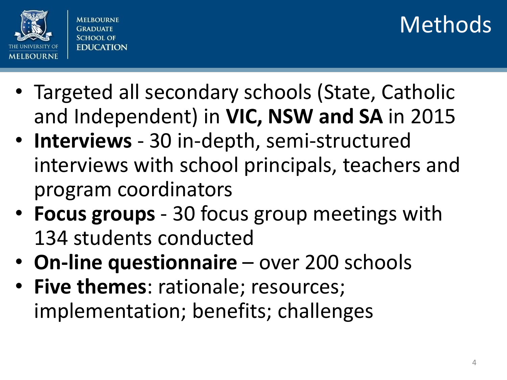

## Methods

- Targeted all secondary schools (State, Catholic and Independent) in **VIC, NSW and SA** in 2015
- **Interviews** 30 in-depth, semi-structured interviews with school principals, teachers and program coordinators
- **Focus groups**  30 focus group meetings with 134 students conducted
- **On-line questionnaire**  over 200 schools
- **Five themes**: rationale; resources; implementation; benefits; challenges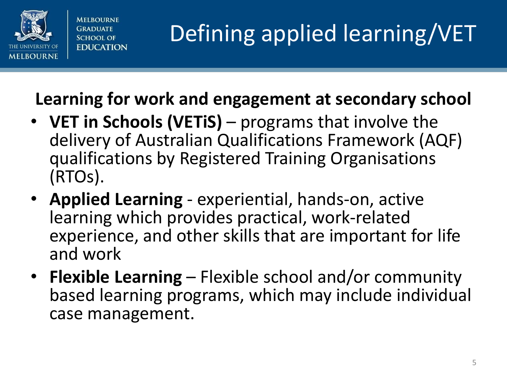

#### **Learning for work and engagement at secondary school**

- **VET in Schools (VETiS)**  programs that involve the delivery of Australian Qualifications Framework (AQF) qualifications by Registered Training Organisations (RTOs).
- **Applied Learning**  experiential, hands-on, active learning which provides practical, work-related experience, and other skills that are important for life and work
- **Flexible Learning**  Flexible school and/or community based learning programs, which may include individual case management.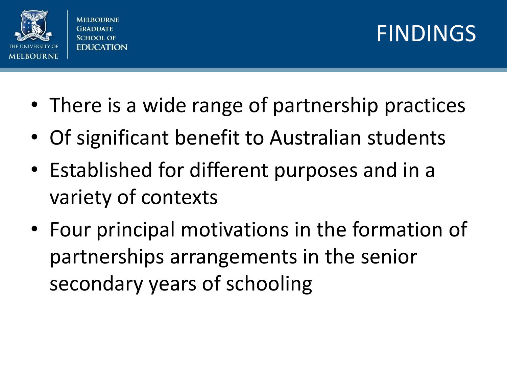

#### FINDINGS

- There is a wide range of partnership practices
- Of significant benefit to Australian students
- Established for different purposes and in a variety of contexts
- Four principal motivations in the formation of partnerships arrangements in the senior secondary years of schooling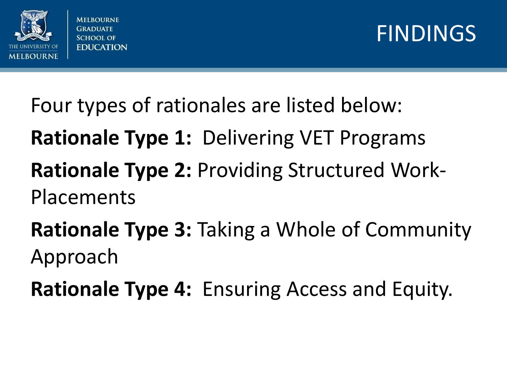



Four types of rationales are listed below: **Rationale Type 1:** Delivering VET Programs **Rationale Type 2:** Providing Structured Work-Placements **Rationale Type 3:** Taking a Whole of Community Approach

**Rationale Type 4:** Ensuring Access and Equity.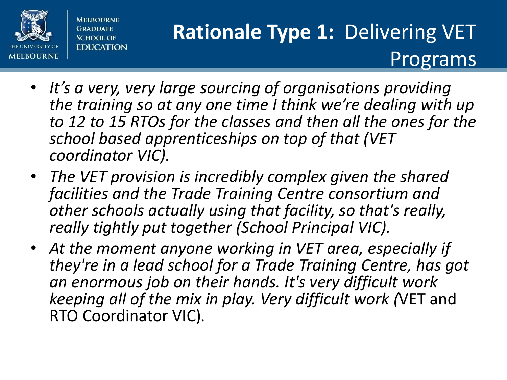

#### **Rationale Type 1:** Delivering VET Programs

- *It's a very, very large sourcing of organisations providing the training so at any one time I think we're dealing with up to 12 to 15 RTOs for the classes and then all the ones for the school based apprenticeships on top of that (VET coordinator VIC).*
- *The VET provision is incredibly complex given the shared facilities and the Trade Training Centre consortium and other schools actually using that facility, so that's really, really tightly put together (School Principal VIC).*
- *At the moment anyone working in VET area, especially if they're in a lead school for a Trade Training Centre, has got an enormous job on their hands. It's very difficult work keeping all of the mix in play. Very difficult work (*VET and RTO Coordinator VIC)*.*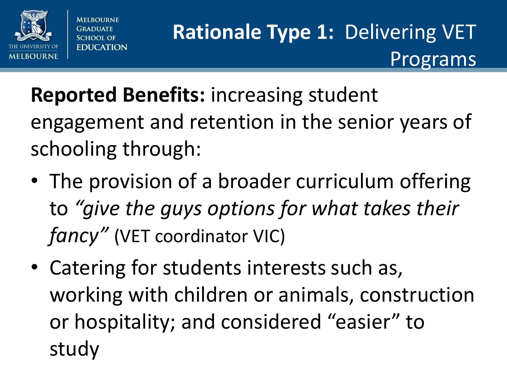

**MELROLIRNE** 

SCHOOL OF **EDUCATION**  **Rationale Type 1:** Delivering VET Programs

# **Reported Benefits:** increasing student engagement and retention in the senior years of schooling through:

- The provision of a broader curriculum offering to *"give the guys options for what takes their fancy"* (VET coordinator VIC)
- Catering for students interests such as, working with children or animals, construction or hospitality; and considered "easier" to study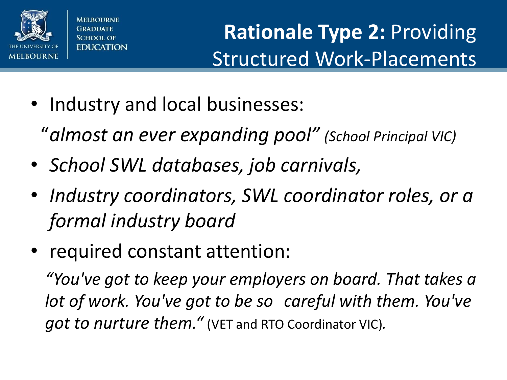

#### **Rationale Type 2:** Providing Structured Work-Placements

- Industry and local businesses:
	- "*almost an ever expanding pool" (School Principal VIC)*
- *School SWL databases, job carnivals,*
- *Industry coordinators, SWL coordinator roles, or a formal industry board*
- required constant attention:

*"You've got to keep your employers on board. That takes a lot of work. You've got to be so careful with them. You've got to nurture them."* (VET and RTO Coordinator VIC)*.*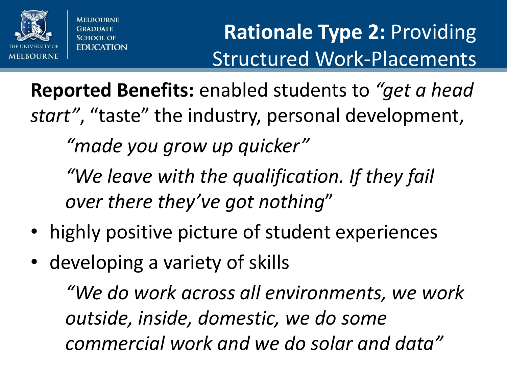

## **Rationale Type 2:** Providing Structured Work-Placements

**Reported Benefits:** enabled students to *"get a head start"*, "taste" the industry, personal development,

*"made you grow up quicker"*

*"We leave with the qualification. If they fail over there they've got nothing*"

- highly positive picture of student experiences
- developing a variety of skills

*"We do work across all environments, we work outside, inside, domestic, we do some commercial work and we do solar and data"*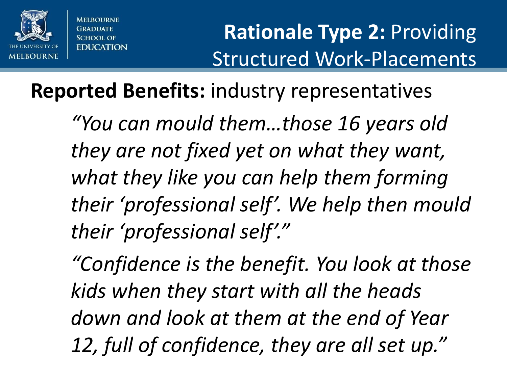

#### **Rationale Type 2:** Providing Structured Work-Placements

#### **Reported Benefits:** industry representatives

*"You can mould them…those 16 years old they are not fixed yet on what they want, what they like you can help them forming their 'professional self'. We help then mould their 'professional self'."*

*"Confidence is the benefit. You look at those kids when they start with all the heads down and look at them at the end of Year 12, full of confidence, they are all set up."*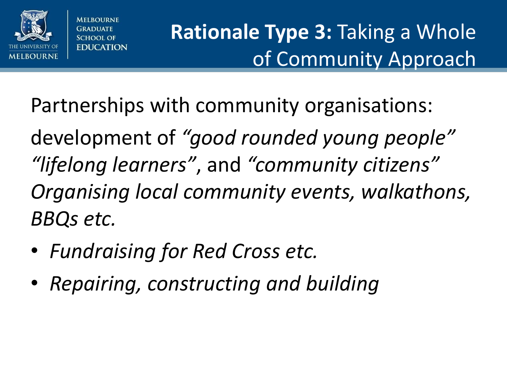

## **Rationale Type 3:** Taking a Whole of Community Approach

Partnerships with community organisations:

development of *"good rounded young people" "lifelong learners"*, and *"community citizens" Organising local community events, walkathons, BBQs etc.*

- *Fundraising for Red Cross etc.*
- *Repairing, constructing and building*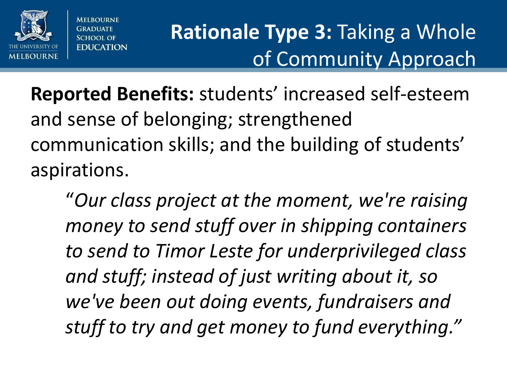

**MELROLIRNE GRADIIATE SCHOOL OF EDUCATION** 

## **Rationale Type 3: Taking a Whole** of Community Approach

**Reported Benefits:** students' increased self-esteem and sense of belonging; strengthened communication skills; and the building of students' aspirations.

"*Our class project at the moment, we're raising money to send stuff over in shipping containers to send to Timor Leste for underprivileged class and stuff; instead of just writing about it, so we've been out doing events, fundraisers and stuff to try and get money to fund everything."*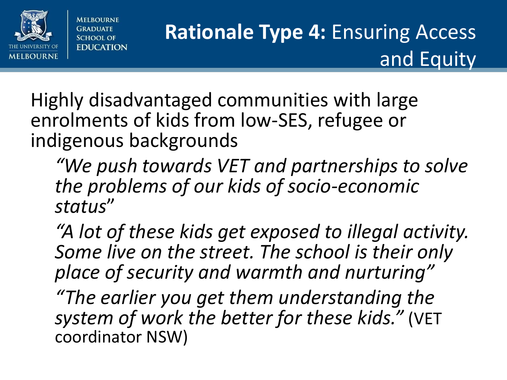

## **Rationale Type 4: Ensuring Access** and Equity

Highly disadvantaged communities with large enrolments of kids from low-SES, refugee or indigenous backgrounds

*"We push towards VET and partnerships to solve the problems of our kids of socio-economic status*"

*"A lot of these kids get exposed to illegal activity. Some live on the street. The school is their only place of security and warmth and nurturing"*

*"The earlier you get them understanding the system of work the better for these kids."* (VET coordinator NSW)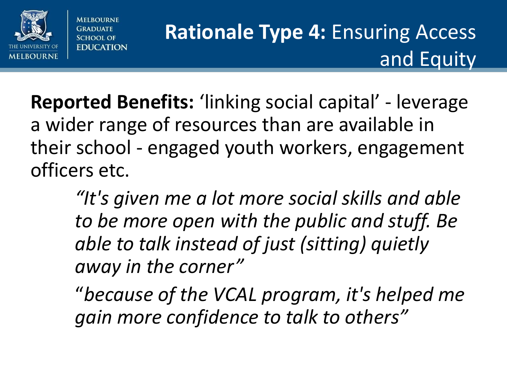

**Reported Benefits:** 'linking social capital' - leverage a wider range of resources than are available in their school - engaged youth workers, engagement officers etc.

> *"It's given me a lot more social skills and able to be more open with the public and stuff. Be able to talk instead of just (sitting) quietly away in the corner"*

"*because of the VCAL program, it's helped me gain more confidence to talk to others"*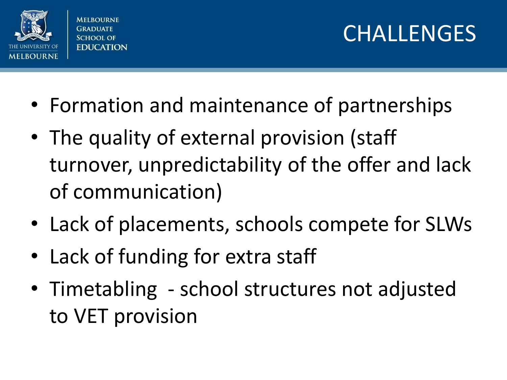

**MELBOURNE SCHOOL OF EDUCATION** 

## CHALLENGES

- Formation and maintenance of partnerships
- The quality of external provision (staff turnover, unpredictability of the offer and lack of communication)
- Lack of placements, schools compete for SLWs
- Lack of funding for extra staff
- Timetabling school structures not adjusted to VET provision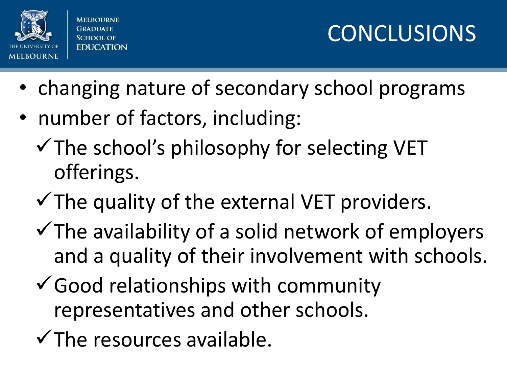

**MELBOURNE** SCHOOL OF **EDUCATION** 

CONCLUSIONS

- changing nature of secondary school programs
- number of factors, including:
	- $\checkmark$  The school's philosophy for selecting VET offerings.
	- $\checkmark$  The quality of the external VET providers.
	- $\checkmark$  The availability of a solid network of employers and a quality of their involvement with schools.
	- $\checkmark$  Good relationships with community representatives and other schools.
	- $\checkmark$  The resources available.